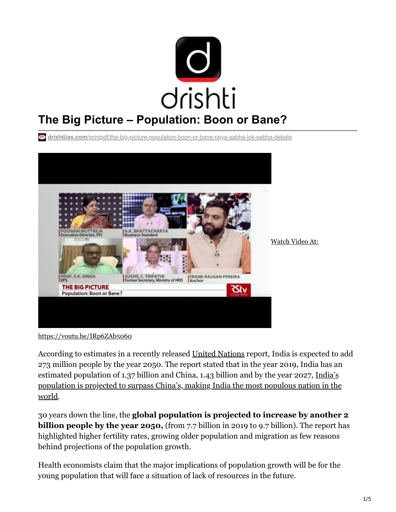

**drishtiias.com**[/printpdf/the-big-picture-population-boon-or-bane-rajya-sabha-lok-sabha-debate](https://www.drishtiias.com/printpdf/the-big-picture-population-boon-or-bane-rajya-sabha-lok-sabha-debate)



<https://youtu.be/IRp6ZAb5060>

According to estimates in a recently released [United Nations](https://www.drishtiias.com/important-institutions/drishti-specials-important-institutions-international-institution/united-nations-1) report, India is expected to add 273 million people by the year 2050. The report stated that in the year 2019, India has an estimated population of 1.37 billion and China, 1.43 billion and by the year 2027, India's [population is projected to surpass China's, making India the most populous nation in the](https://www.drishtiias.com/daily-updates/daily-news-analysis/the-world-population-prospects) world.

30 years down the line, the **global population is projected to increase by another 2 billion people by the year 2050,** (from 7.7 billion in 2019 to 9.7 billion). The report has highlighted higher fertility rates, growing older population and migration as few reasons behind projections of the population growth.

Health economists claim that the major implications of population growth will be for the young population that will face a situation of lack of resources in the future.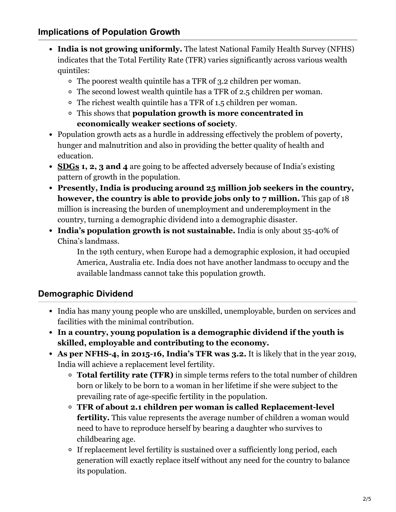- **India is not growing uniformly.** The latest National Family Health Survey (NFHS) indicates that the Total Fertility Rate (TFR) varies significantly across various wealth quintiles:
	- The poorest wealth quintile has a TFR of 3.2 children per woman.
	- The second lowest wealth quintile has a TFR of 2.5 children per woman.
	- The richest wealth quintile has a TFR of 1.5 children per woman.
	- This shows that **population growth is more concentrated in economically weaker sections of society**.
- Population growth acts as a hurdle in addressing effectively the problem of poverty, hunger and malnutrition and also in providing the better quality of health and education.
- **[SDGs](https://www.drishtiias.com/loksabha-rajyasabha-discussions/in-depth-indias-sustainable-development-goals) 1, 2, 3 and 4** are going to be affected adversely because of India's existing pattern of growth in the population.
- **Presently, India is producing around 25 million job seekers in the country, however, the country is able to provide jobs only to 7 million.** This gap of 18 million is increasing the burden of unemployment and underemployment in the country, turning a demographic dividend into a demographic disaster.
- **India's population growth is not sustainable.** India is only about 35-40% of China's landmass.

In the 19th century, when Europe had a demographic explosion, it had occupied America, Australia etc. India does not have another landmass to occupy and the available landmass cannot take this population growth.

## **Demographic Dividend**

- India has many young people who are unskilled, unemployable, burden on services and facilities with the minimal contribution.
- **In a country, young population is a demographic dividend if the youth is skilled, employable and contributing to the economy.**
- **As per NFHS-4, in 2015-16, India's TFR was 3.2.** It is likely that in the year 2019, India will achieve a replacement level fertility.
	- **Total fertility rate (TFR)** in simple terms refers to the total number of children born or likely to be born to a woman in her lifetime if she were subject to the prevailing rate of age-specific fertility in the population.
	- **TFR of about 2.1 children per woman is called Replacement-level fertility.** This value represents the average number of children a woman would need to have to reproduce herself by bearing a daughter who survives to childbearing age.
	- If replacement level fertility is sustained over a sufficiently long period, each generation will exactly replace itself without any need for the country to balance its population.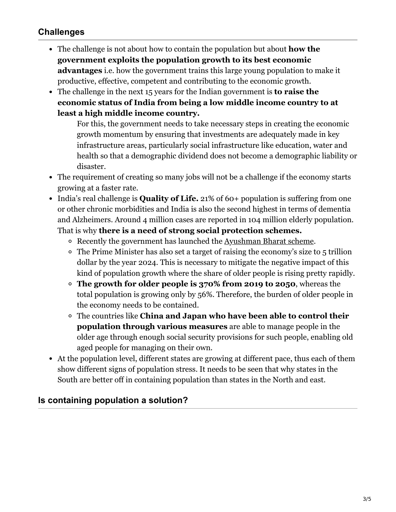## **Challenges**

- The challenge is not about how to contain the population but about **how the government exploits the population growth to its best economic advantages** i.e. how the government trains this large young population to make it productive, effective, competent and contributing to the economic growth.
- The challenge in the next 15 years for the Indian government is **to raise the economic status of India from being a low middle income country to at least a high middle income country.**

For this, the government needs to take necessary steps in creating the economic growth momentum by ensuring that investments are adequately made in key infrastructure areas, particularly social infrastructure like education, water and health so that a demographic dividend does not become a demographic liability or disaster.

- The requirement of creating so many jobs will not be a challenge if the economy starts growing at a faster rate.
- India's real challenge is **Quality of Life.** 21% of 60+ population is suffering from one or other chronic morbidities and India is also the second highest in terms of dementia and Alzheimers. Around 4 million cases are reported in 104 million elderly population. That is why **there is a need of strong social protection schemes.**
	- Recently the government has launched the [Ayushman Bharat scheme](https://www.drishtiias.com/daily-updates/daily-news-analysis/ayushman-bharat).
	- The Prime Minister has also set a target of raising the economy's size to 5 trillion dollar by the year 2024. This is necessary to mitigate the negative impact of this kind of population growth where the share of older people is rising pretty rapidly.
	- **The growth for older people is 370% from 2019 to 2050**, whereas the total population is growing only by 56%. Therefore, the burden of older people in the economy needs to be contained.
	- The countries like **China and Japan who have been able to control their population through various measures** are able to manage people in the older age through enough social security provisions for such people, enabling old aged people for managing on their own.
- At the population level, different states are growing at different pace, thus each of them show different signs of population stress. It needs to be seen that why states in the South are better off in containing population than states in the North and east.

### **Is containing population a solution?**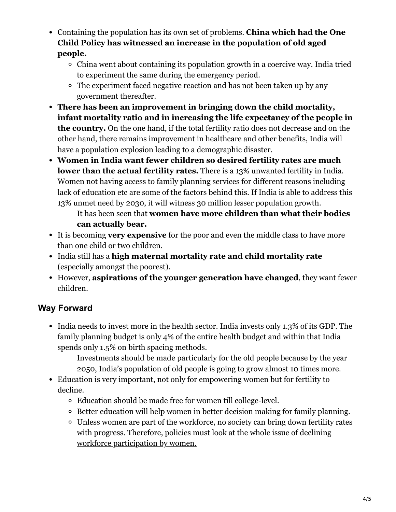- Containing the population has its own set of problems. **China which had the One Child Policy has witnessed an increase in the population of old aged people.**
	- China went about containing its population growth in a coercive way. India tried to experiment the same during the emergency period.
	- The experiment faced negative reaction and has not been taken up by any government thereafter.
- **There has been an improvement in bringing down the child mortality, infant mortality ratio and in increasing the life expectancy of the people in the country.** On the one hand, if the total fertility ratio does not decrease and on the other hand, there remains improvement in healthcare and other benefits, India will have a population explosion leading to a demographic disaster.
- **Women in India want fewer children so desired fertility rates are much lower than the actual fertility rates.** There is a 13% unwanted fertility in India. Women not having access to family planning services for different reasons including lack of education etc are some of the factors behind this. If India is able to address this 13% unmet need by 2030, it will witness 30 million lesser population growth.

It has been seen that **women have more children than what their bodies can actually bear.**

- It is becoming **very expensive** for the poor and even the middle class to have more than one child or two children.
- India still has a **high maternal mortality rate and child mortality rate** (especially amongst the poorest).
- However, **aspirations of the younger generation have changed**, they want fewer children.

# **Way Forward**

• India needs to invest more in the health sector. India invests only 1.3% of its GDP. The family planning budget is only 4% of the entire health budget and within that India spends only 1.5% on birth spacing methods.

Investments should be made particularly for the old people because by the year 2050, India's population of old people is going to grow almost 10 times more.

- Education is very important, not only for empowering women but for fertility to decline.
	- Education should be made free for women till college-level.
	- <sup>o</sup> Better education will help women in better decision making for family planning.
	- Unless women are part of the workforce, no society can bring down fertility rates [with progress. Therefore, policies must look at the whole issue of declining](https://www.drishtiias.com/daily-updates/daily-news-editorials/declining-female-labour-force-participation-editorial-upsc-ias-economy-gender-inequality-gktoday) workforce participation by women.